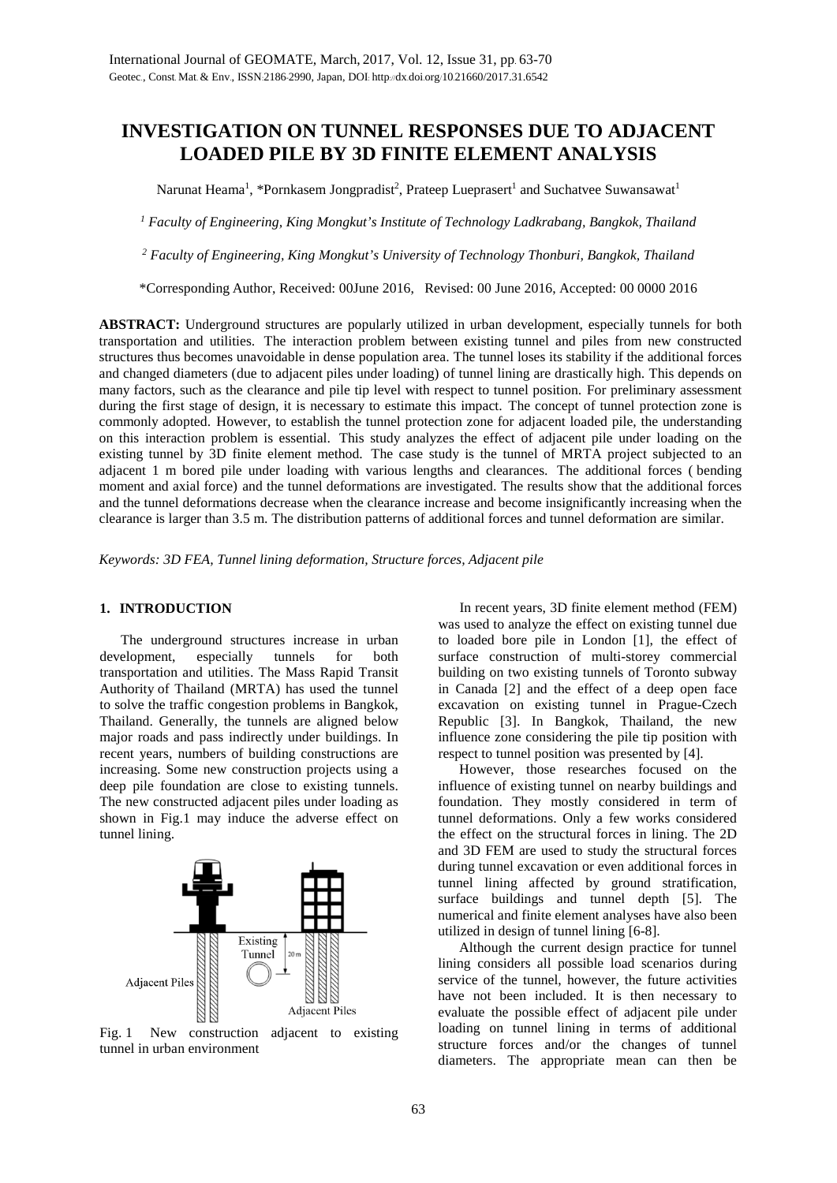# **INVESTIGATION ON TUNNEL RESPONSES DUE TO ADJACENT LOADED PILE BY 3D FINITE ELEMENT ANALYSIS**

Narunat Heama<sup>1</sup>, \*Pornkasem Jongpradist<sup>2</sup>, Prateep Lueprasert<sup>1</sup> and Suchatvee Suwansawat<sup>1</sup>

*<sup>1</sup> Faculty of Engineering, King Mongkut's Institute of Technology Ladkrabang, Bangkok, Thailand*

*<sup>2</sup> Faculty of Engineering, King Mongkut's University of Technology Thonburi, Bangkok, Thailand*

\*Corresponding Author, Received: 00June 2016, Revised: 00 June 2016, Accepted: 00 0000 2016

**ABSTRACT:** Underground structures are popularly utilized in urban development, especially tunnels for both transportation and utilities. The interaction problem between existing tunnel and piles from new constructed structures thus becomes unavoidable in dense population area. The tunnel loses its stability if the additional forces and changed diameters (due to adjacent piles under loading) of tunnel lining are drastically high. This depends on many factors, such as the clearance and pile tip level with respect to tunnel position. For preliminary assessment during the first stage of design, it is necessary to estimate this impact. The concept of tunnel protection zone is commonly adopted. However, to establish the tunnel protection zone for adjacent loaded pile, the understanding on this interaction problem is essential. This study analyzes the effect of adjacent pile under loading on the existing tunnel by 3D finite element method. The case study is the tunnel of MRTA project subjected to an adjacent 1 m bored pile under loading with various lengths and clearances. The additional forces ( bending moment and axial force) and the tunnel deformations are investigated. The results show that the additional forces and the tunnel deformations decrease when the clearance increase and become insignificantly increasing when the clearance is larger than 3.5 m. The distribution patterns of additional forces and tunnel deformation are similar.

*Keywords: 3D FEA, Tunnel lining deformation, Structure forces, Adjacent pile*

## **1. INTRODUCTION**

 The underground structures increase in urban development, especially tunnels for both transportation and utilities. The Mass Rapid Transit Authority of Thailand (MRTA) has used the tunnel to solve the traffic congestion problems in Bangkok, Thailand. Generally, the tunnels are aligned below major roads and pass indirectly under buildings. In recent years, numbers of building constructions are increasing. Some new construction projects using a deep pile foundation are close to existing tunnels. The new constructed adjacent piles under loading as shown in Fig.1 may induce the adverse effect on tunnel lining.



Fig. 1 New construction adjacent to existing tunnel in urban environment

 In recent years, 3D finite element method (FEM) was used to analyze the effect on existing tunnel due to loaded bore pile in London [1], the effect of surface construction of multi-storey commercial building on two existing tunnels of Toronto subway in Canada [2] and the effect of a deep open face excavation on existing tunnel in Prague-Czech Republic [3]. In Bangkok, Thailand, the new influence zone considering the pile tip position with respect to tunnel position was presented by [4].

 However, those researches focused on the influence of existing tunnel on nearby buildings and foundation. They mostly considered in term of tunnel deformations. Only a few works considered the effect on the structural forces in lining. The 2D and 3D FEM are used to study the structural forces during tunnel excavation or even additional forces in tunnel lining affected by ground stratification, surface buildings and tunnel depth [5]. The numerical and finite element analyses have also been utilized in design of tunnel lining [6-8].

 Although the current design practice for tunnel lining considers all possible load scenarios during service of the tunnel, however, the future activities have not been included. It is then necessary to evaluate the possible effect of adjacent pile under loading on tunnel lining in terms of additional structure forces and/or the changes of tunnel diameters. The appropriate mean can then be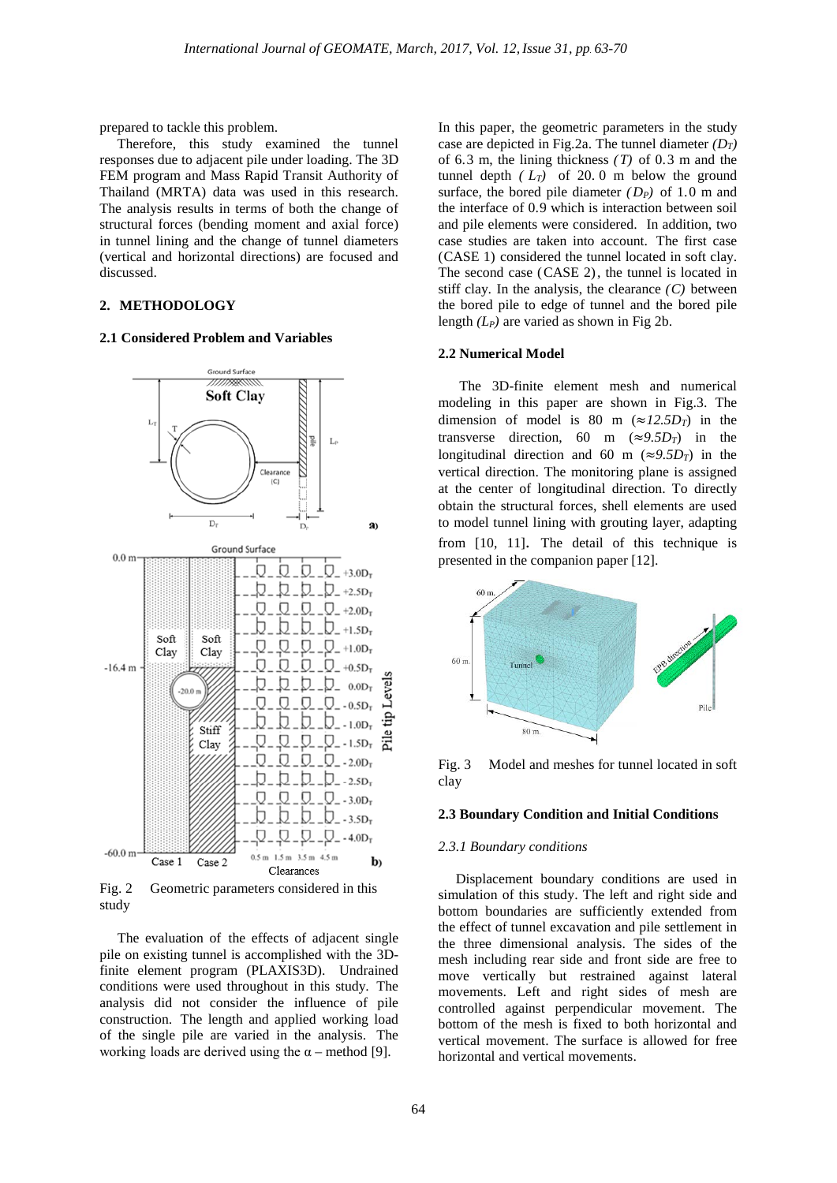prepared to tackle this problem.

 Therefore, this study examined the tunnel responses due to adjacent pile under loading. The 3D FEM program and Mass Rapid Transit Authority of Thailand (MRTA) data was used in this research. The analysis results in terms of both the change of structural forces (bending moment and axial force) in tunnel lining and the change of tunnel diameters (vertical and horizontal directions) are focused and discussed.

## **2. METHODOLOGY**

#### **2.1 Considered Problem and Variables**



Fig. 2 Geometric parameters considered in this study

 The evaluation of the effects of adjacent single pile on existing tunnel is accomplished with the 3Dfinite element program (PLAXIS3D). Undrained conditions were used throughout in this study. The analysis did not consider the influence of pile construction. The length and applied working load of the single pile are varied in the analysis. The working loads are derived using the  $\alpha$  – method [9].

In this paper, the geometric parameters in the study case are depicted in Fig.2a. The tunnel diameter *(DT)* of 6.3 m, the lining thickness *(T)* of 0.3 m and the tunnel depth  $(L_T)$  of 20.0 m below the ground surface, the bored pile diameter  $(D_P)$  of 1.0 m and the interface of 0.9 which is interaction between soil and pile elements were considered. In addition, two case studies are taken into account. The first case (CASE 1) considered the tunnel located in soft clay. The second case (CASE 2), the tunnel is located in stiff clay. In the analysis, the clearance *(C)* between the bored pile to edge of tunnel and the bored pile length *(LP)* are varied as shown in Fig 2b.

### **2.2 Numerical Model**

 The 3D-finite element mesh and numerical modeling in this paper are shown in Fig.3. The dimension of model is 80 m ( $\approx$ *12.5D<sub>T</sub>*) in the transverse direction, 60 m ( $\approx$ 9.5D<sub>T</sub>) in the longitudinal direction and 60 m ( $\approx$ 9.5D<sub>T</sub>) in the vertical direction. The monitoring plane is assigned at the center of longitudinal direction. To directly obtain the structural forces, shell elements are used to model tunnel lining with grouting layer, adapting from [10, 11]. The detail of this technique is presented in the companion paper [12].



Fig. 3 Model and meshes for tunnel located in soft clay

#### **2.3 Boundary Condition and Initial Conditions**

#### *2.3.1 Boundary conditions*

 Displacement boundary conditions are used in simulation of this study. The left and right side and bottom boundaries are sufficiently extended from the effect of tunnel excavation and pile settlement in the three dimensional analysis. The sides of the mesh including rear side and front side are free to move vertically but restrained against lateral movements. Left and right sides of mesh are controlled against perpendicular movement. The bottom of the mesh is fixed to both horizontal and vertical movement. The surface is allowed for free horizontal and vertical movements.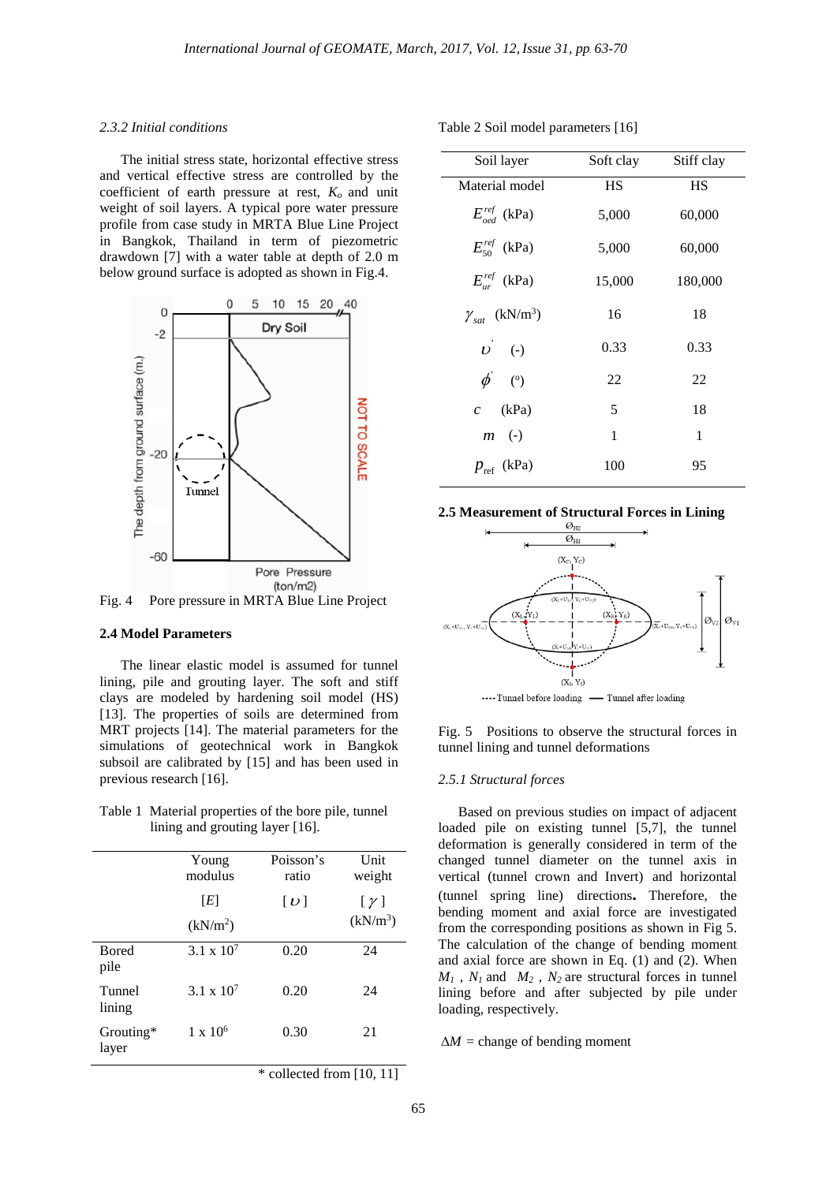### *2.3.2 Initial conditions*

 The initial stress state, horizontal effective stress and vertical effective stress are controlled by the coefficient of earth pressure at rest, *Ko* and unit weight of soil layers. A typical pore water pressure profile from case study in MRTA Blue Line Project in Bangkok, Thailand in term of piezometric drawdown [7] with a water table at depth of 2.0 m below ground surface is adopted as shown in Fig.4.



Fig. 4 Pore pressure in MRTA Blue Line Project

#### **2.4 Model Parameters**

 The linear elastic model is assumed for tunnel lining, pile and grouting layer. The soft and stiff clays are modeled by hardening soil model (HS) [13]. The properties of soils are determined from MRT projects [14]. The material parameters for the simulations of geotechnical work in Bangkok subsoil are calibrated by [15] and has been used in previous research [16].

Table 1 Material properties of the bore pile, tunnel lining and grouting layer [16].

|                       | Young<br>modulus            | Poisson's<br>ratio | Unit<br>weight                     |
|-----------------------|-----------------------------|--------------------|------------------------------------|
|                       | [E]<br>(kN/m <sup>2</sup> ) | $[\boldsymbol{v}]$ | $[\gamma]$<br>(kN/m <sup>3</sup> ) |
| <b>B</b> ored<br>pile | 3.1 x $10^{7}$              | 0.20               | 24                                 |
| Tunnel<br>lining      | $3.1 \times 10^{7}$         | 0.20               | 24                                 |
| Grouting*<br>layer    | $1 \times 10^6$             | 0.30               | 21                                 |

 $*$  collected from [10, 11]

Table 2 Soil model parameters [16]

| Soil layer                          | Soft clay | Stiff clay |
|-------------------------------------|-----------|------------|
| Material model                      | HS        | <b>HS</b>  |
| $E_{\text{nod}}^{\text{ref}}$ (kPa) | 5,000     | 60,000     |
| $E_{50}^{ref}$ (kPa)                | 5,000     | 60,000     |
| $E_{ur}^{ref}$ (kPa)                | 15,000    | 180,000    |
| $\gamma_{sat}$ (kN/m <sup>3</sup> ) | 16        | 18         |
| $\vec{v}$ (-)                       | 0.33      | 0.33       |
| $\phi$ (°)                          | 22        | 22         |
| $c$ (kPa)                           | 5         | 18         |
| $m$ (-)                             | 1         | 1          |
| $p_{\text{ref}}$ (kPa)              | 100       | 95         |
|                                     |           |            |





Fig. 5 Positions to observe the structural forces in tunnel lining and tunnel deformations

#### *2.5.1 Structural forces*

Based on previous studies on impact of adjacent loaded pile on existing tunnel [5,7], the tunnel deformation is generally considered in term of the changed tunnel diameter on the tunnel axis in vertical (tunnel crown and Invert) and horizontal (tunnel spring line) directions**.** Therefore, the bending moment and axial force are investigated from the corresponding positions as shown in Fig 5. The calculation of the change of bending moment and axial force are shown in Eq. (1) and (2). When  $M_1$ ,  $N_1$  and  $M_2$ ,  $N_2$  are structural forces in tunnel lining before and after subjected by pile under loading, respectively.

 $\Delta M$  = change of bending moment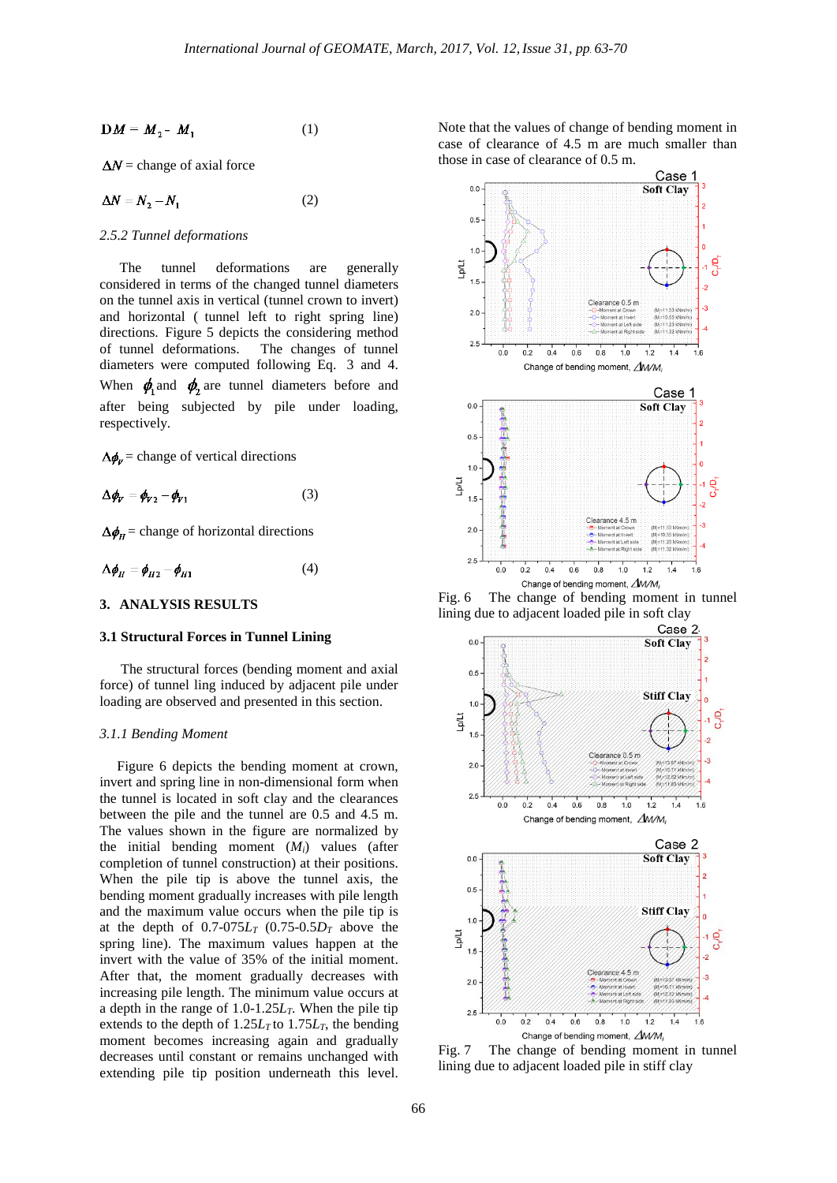$$
\mathbf{D}M = M_2 - M_1 \tag{1}
$$

 $\Delta N$  = change of axial force

$$
\Delta N = N_2 - N_1 \tag{2}
$$

#### *2.5.2 Tunnel deformations*

The tunnel deformations are generally considered in terms of the changed tunnel diameters on the tunnel axis in vertical (tunnel crown to invert) and horizontal ( tunnel left to right spring line) directions. Figure 5 depicts the considering method<br>of tunnel deformations. The changes of tunnel The changes of tunnel diameters were computed following Eq. 3 and 4. When  $\phi_1$  and  $\phi_2$  are tunnel diameters before and after being subjected by pile under loading, respectively.

 $\Delta \phi_v$  = change of vertical directions

$$
\Delta \phi_V = \phi_{V2} - \phi_{V1} \tag{3}
$$

 $\Delta \phi_{H}$  = change of horizontal directions

$$
\Delta \phi_H = \phi_{H2} - \phi_{H1} \tag{4}
$$

## **3. ANALYSIS RESULTS**

#### **3.1 Structural Forces in Tunnel Lining**

 The structural forces (bending moment and axial force) of tunnel ling induced by adjacent pile under loading are observed and presented in this section.

#### *3.1.1 Bending Moment*

Figure 6 depicts the bending moment at crown, invert and spring line in non-dimensional form when the tunnel is located in soft clay and the clearances between the pile and the tunnel are 0.5 and 4.5 m. The values shown in the figure are normalized by the initial bending moment (*Mi*) values (after completion of tunnel construction) at their positions. When the pile tip is above the tunnel axis, the bending moment gradually increases with pile length and the maximum value occurs when the pile tip is at the depth of  $0.7$ -075 $L_T$  (0.75-0.5 $D_T$  above the spring line). The maximum values happen at the invert with the value of 35% of the initial moment. After that, the moment gradually decreases with increasing pile length. The minimum value occurs at a depth in the range of 1.0-1.25*LT*. When the pile tip extends to the depth of  $1.25L<sub>T</sub>$  to  $1.75L<sub>T</sub>$ , the bending moment becomes increasing again and gradually decreases until constant or remains unchanged with extending pile tip position underneath this level. Note that the values of change of bending moment in case of clearance of 4.5 m are much smaller than those in case of clearance of 0.5 m.



Fig. 6 The change of bending moment in tunnel lining due to adjacent loaded pile in soft clay<br>Case 2



Fig. 7 The change of bending moment in tunnel lining due to adjacent loaded pile in stiff clay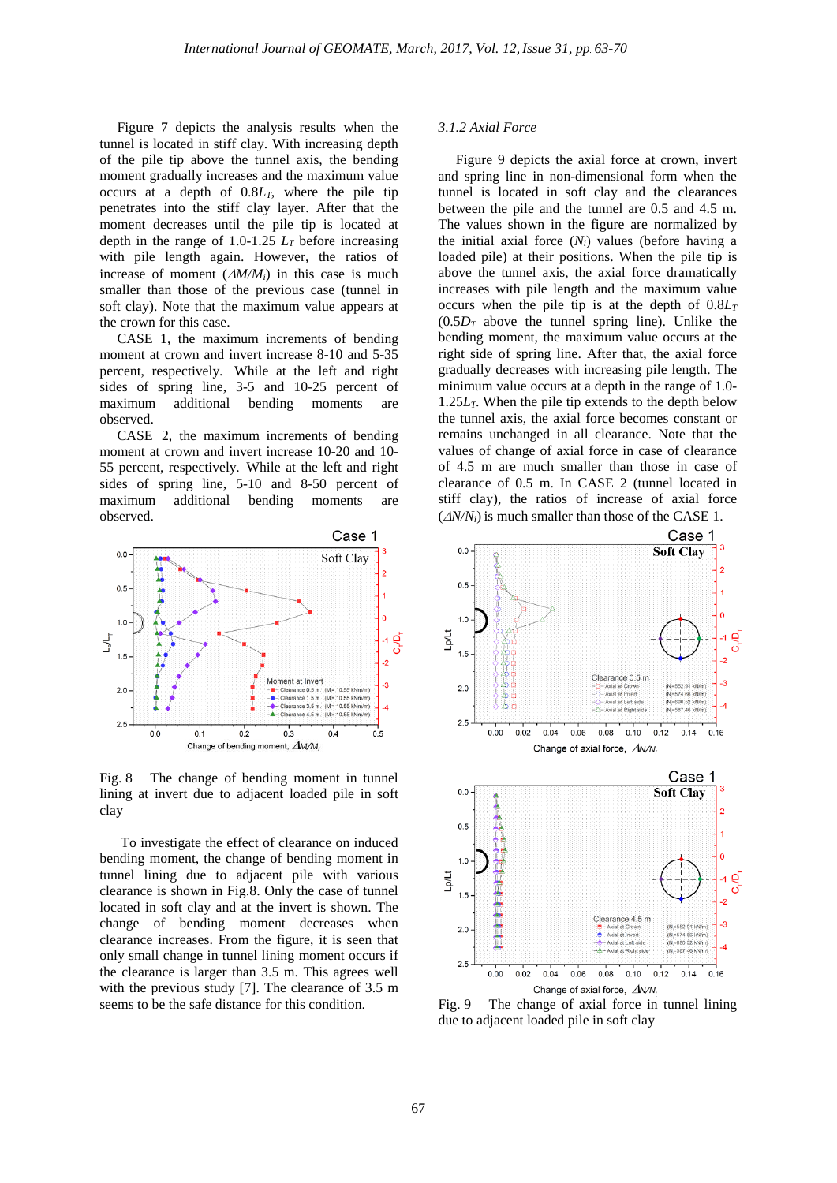Figure 7 depicts the analysis results when the tunnel is located in stiff clay. With increasing depth of the pile tip above the tunnel axis, the bending moment gradually increases and the maximum value occurs at a depth of 0.8*LT*, where the pile tip penetrates into the stiff clay layer. After that the moment decreases until the pile tip is located at depth in the range of  $1.0$ -1.25  $L<sub>T</sub>$  before increasing with pile length again. However, the ratios of increase of moment  $(\Delta M/M_i)$  in this case is much smaller than those of the previous case (tunnel in soft clay). Note that the maximum value appears at the crown for this case.

 CASE 1, the maximum increments of bending moment at crown and invert increase 8-10 and 5-35 percent, respectively. While at the left and right sides of spring line, 3-5 and 10-25 percent of maximum additional bending moments are observed.

 CASE 2, the maximum increments of bending moment at crown and invert increase 10-20 and 10- 55 percent, respectively. While at the left and right sides of spring line, 5-10 and 8-50 percent of maximum additional bending moments are observed.



Fig. 8 The change of bending moment in tunnel lining at invert due to adjacent loaded pile in soft clay

 To investigate the effect of clearance on induced bending moment, the change of bending moment in tunnel lining due to adjacent pile with various clearance is shown in Fig.8. Only the case of tunnel located in soft clay and at the invert is shown. The change of bending moment decreases when clearance increases. From the figure, it is seen that only small change in tunnel lining moment occurs if the clearance is larger than 3.5 m. This agrees well with the previous study [7]. The clearance of 3.5 m seems to be the safe distance for this condition.

## *3.1.2 Axial Force*

 Figure 9 depicts the axial force at crown, invert and spring line in non-dimensional form when the tunnel is located in soft clay and the clearances between the pile and the tunnel are 0.5 and 4.5 m. The values shown in the figure are normalized by the initial axial force (*Ni*) values (before having a loaded pile) at their positions. When the pile tip is above the tunnel axis, the axial force dramatically increases with pile length and the maximum value occurs when the pile tip is at the depth of  $0.8L<sub>T</sub>$  $(0.5D<sub>T</sub>$  above the tunnel spring line). Unlike the bending moment, the maximum value occurs at the right side of spring line. After that, the axial force gradually decreases with increasing pile length. The minimum value occurs at a depth in the range of 1.0-  $1.25L<sub>T</sub>$ . When the pile tip extends to the depth below the tunnel axis, the axial force becomes constant or remains unchanged in all clearance. Note that the values of change of axial force in case of clearance of 4.5 m are much smaller than those in case of clearance of 0.5 m. In CASE 2 (tunnel located in stiff clay), the ratios of increase of axial force  $(\Delta N/N_i)$  is much smaller than those of the CASE 1.



Change of axial force, AN/N, Fig. 9 The change of axial force in tunnel lining due to adjacent loaded pile in soft clay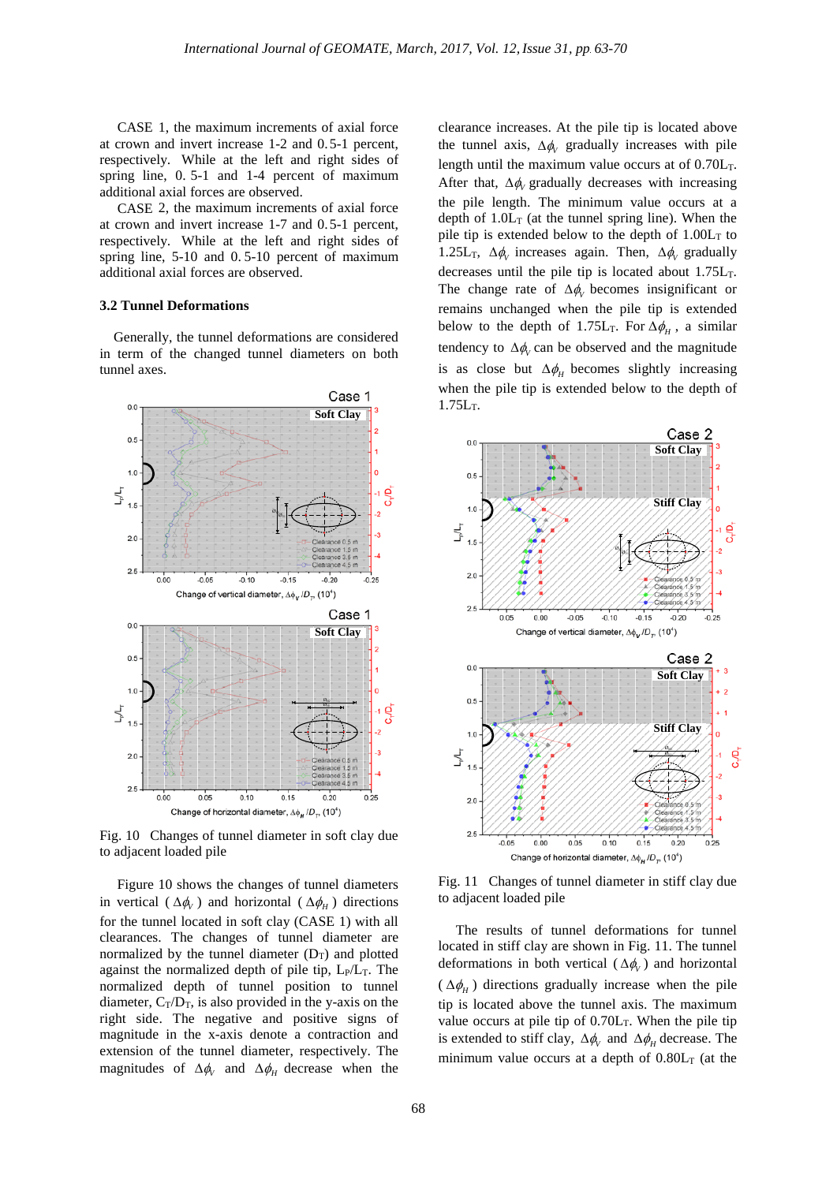CASE 1, the maximum increments of axial force at crown and invert increase 1-2 and 0.5-1 percent, respectively. While at the left and right sides of spring line, 0. 5-1 and 1-4 percent of maximum additional axial forces are observed.

 CASE 2, the maximum increments of axial force at crown and invert increase 1-7 and 0.5-1 percent, respectively. While at the left and right sides of spring line, 5-10 and 0. 5-10 percent of maximum additional axial forces are observed.

## **3.2 Tunnel Deformations**

 Generally, the tunnel deformations are considered in term of the changed tunnel diameters on both tunnel axes.



Fig. 10 Changes of tunnel diameter in soft clay due to adjacent loaded pile

 Figure 10 shows the changes of tunnel diameters in vertical ( $\Delta \phi$ <sub>*V*</sub>) and horizontal ( $\Delta \phi$ <sub>*H*</sub>) directions for the tunnel located in soft clay (CASE 1) with all clearances. The changes of tunnel diameter are normalized by the tunnel diameter  $(D_T)$  and plotted against the normalized depth of pile tip,  $L_P/L_T$ . The normalized depth of tunnel position to tunnel diameter,  $C_T/D_T$ , is also provided in the y-axis on the right side. The negative and positive signs of magnitude in the x-axis denote a contraction and extension of the tunnel diameter, respectively. The magnitudes of  $\Delta \phi_V$  and  $\Delta \phi_H$  decrease when the clearance increases. At the pile tip is located above the tunnel axis,  $\Delta \phi$  gradually increases with pile length until the maximum value occurs at of  $0.70L<sub>T</sub>$ . After that,  $\Delta \phi$  gradually decreases with increasing the pile length. The minimum value occurs at a depth of  $1.0L<sub>T</sub>$  (at the tunnel spring line). When the pile tip is extended below to the depth of  $1.00L<sub>T</sub>$  to 1.25L<sub>T</sub>,  $\Delta \phi_V$  increases again. Then,  $\Delta \phi_V$  gradually decreases until the pile tip is located about  $1.75L<sub>T</sub>$ . The change rate of  $\Delta \phi$  becomes insignificant or remains unchanged when the pile tip is extended below to the depth of 1.75L<sub>T</sub>. For  $\Delta \phi_H$ , a similar tendency to  $\Delta \phi$  can be observed and the magnitude is as close but  $\Delta \phi$ <sub>H</sub> becomes slightly increasing when the pile tip is extended below to the depth of  $1.75L_T$ .



Fig. 11 Changes of tunnel diameter in stiff clay due to adjacent loaded pile

 The results of tunnel deformations for tunnel located in stiff clay are shown in Fig. 11. The tunnel deformations in both vertical ( $\Delta \phi$ <sub>V</sub>) and horizontal  $(\Delta \phi_{H})$  directions gradually increase when the pile tip is located above the tunnel axis. The maximum value occurs at pile tip of 0.70LT. When the pile tip is extended to stiff clay,  $\Delta \phi$  and  $\Delta \phi$ <sup>*H*</sup> decrease. The minimum value occurs at a depth of  $0.80L<sub>T</sub>$  (at the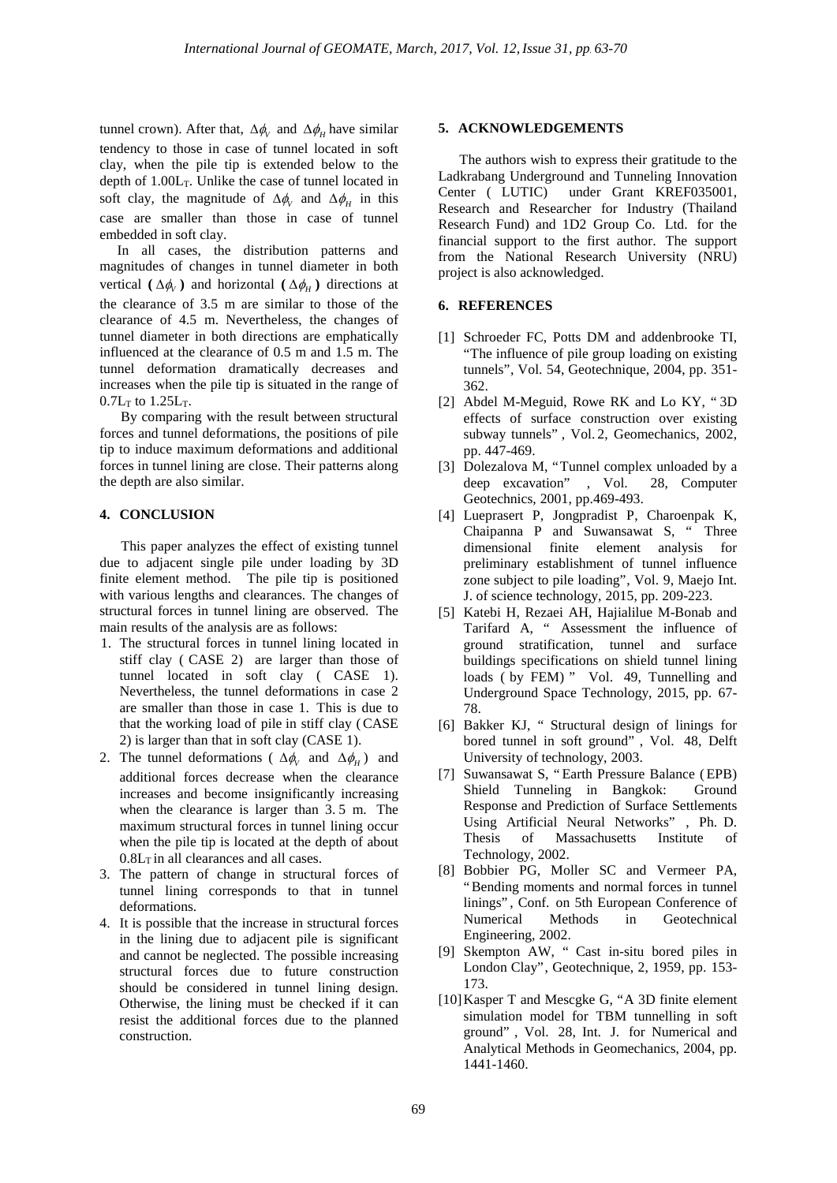tunnel crown). After that,  $\Delta \phi_V$  and  $\Delta \phi_H$  have similar tendency to those in case of tunnel located in soft clay, when the pile tip is extended below to the depth of  $1.00L<sub>T</sub>$ . Unlike the case of tunnel located in soft clay, the magnitude of  $\Delta \phi$  and  $\Delta \phi$  *H* in this case are smaller than those in case of tunnel embedded in soft clay.

 In all cases, the distribution patterns and magnitudes of changes in tunnel diameter in both vertical  $(\Delta \phi_v)$  and horizontal  $(\Delta \phi_H)$  directions at the clearance of 3.5 m are similar to those of the clearance of 4.5 m. Nevertheless, the changes of tunnel diameter in both directions are emphatically influenced at the clearance of 0.5 m and 1.5 m. The tunnel deformation dramatically decreases and increases when the pile tip is situated in the range of  $0.7L_T$  to  $1.25L_T$ .

 By comparing with the result between structural forces and tunnel deformations, the positions of pile tip to induce maximum deformations and additional forces in tunnel lining are close. Their patterns along the depth are also similar.

## **4. CONCLUSION**

 This paper analyzes the effect of existing tunnel due to adjacent single pile under loading by 3D finite element method. The pile tip is positioned with various lengths and clearances. The changes of structural forces in tunnel lining are observed. The main results of the analysis are as follows:

- 1. The structural forces in tunnel lining located in stiff clay ( CASE 2) are larger than those of tunnel located in soft clay ( CASE 1). Nevertheless, the tunnel deformations in case 2 are smaller than those in case 1. This is due to that the working load of pile in stiff clay (CASE 2) is larger than that in soft clay (CASE 1).
- 2. The tunnel deformations ( $\Delta \phi$  and  $\Delta \phi$ <sub>*H*</sub>) and additional forces decrease when the clearance increases and become insignificantly increasing when the clearance is larger than 3. 5 m. The maximum structural forces in tunnel lining occur when the pile tip is located at the depth of about  $0.8L<sub>T</sub>$  in all clearances and all cases.
- 3. The pattern of change in structural forces of tunnel lining corresponds to that in tunnel deformations.
- 4. It is possible that the increase in structural forces in the lining due to adjacent pile is significant and cannot be neglected. The possible increasing structural forces due to future construction should be considered in tunnel lining design. Otherwise, the lining must be checked if it can resist the additional forces due to the planned construction.

## **5. ACKNOWLEDGEMENTS**

 The authors wish to express their gratitude to the Ladkrabang Underground and Tunneling Innovation Center ( LUTIC) under Grant KREF035001, Research and Researcher for Industry (Thailand Research Fund) and 1D2 Group Co. Ltd. for the financial support to the first author. The support from the National Research University (NRU) project is also acknowledged.

## **6. REFERENCES**

- [1] Schroeder FC, Potts DM and addenbrooke TI, "The influence of pile group loading on existing tunnels", Vol. 54, Geotechnique, 2004, pp. 351- 362.
- [2] Abdel M-Meguid, Rowe RK and Lo KY, " 3D effects of surface construction over existing subway tunnels" , Vol. 2, Geomechanics, 2002, pp. 447-469.
- [3] Dolezalova M, "Tunnel complex unloaded by a deep excavation" , Vol. 28, Computer Geotechnics, 2001, pp.469-493.
- [4] Lueprasert P, Jongpradist P, Charoenpak K, Chaipanna P and Suwansawat S, " Three dimensional finite element analysis for preliminary establishment of tunnel influence zone subject to pile loading", Vol. 9, Maejo Int. J. of science technology, 2015, pp. 209-223.
- [5] Katebi H, Rezaei AH, Hajialilue M-Bonab and Tarifard A, " Assessment the influence of ground stratification, tunnel and surface buildings specifications on shield tunnel lining loads ( by FEM) " Vol. 49, Tunnelling and Underground Space Technology, 2015, pp. 67- 78.
- [6] Bakker KJ, " Structural design of linings for bored tunnel in soft ground" , Vol. 48, Delft University of technology, 2003.
- [7] Suwansawat S, " Earth Pressure Balance (EPB) Shield Tunneling in Bangkok: Ground Response and Prediction of Surface Settlements Using Artificial Neural Networks" , Ph. D. Thesis of Massachusetts Institute of Technology, 2002.
- [8] Bobbier PG, Moller SC and Vermeer PA, "Bending moments and normal forces in tunnel linings" , Conf. on 5th European Conference of Numerical Methods in Geotechnical Engineering, 2002.
- [9] Skempton AW, " Cast in-situ bored piles in London Clay", Geotechnique, 2, 1959, pp. 153- 173.
- [10]Kasper T and Mescgke G, "A 3D finite element simulation model for TBM tunnelling in soft ground" , Vol. 28, Int. J. for Numerical and Analytical Methods in Geomechanics, 2004, pp. 1441-1460.